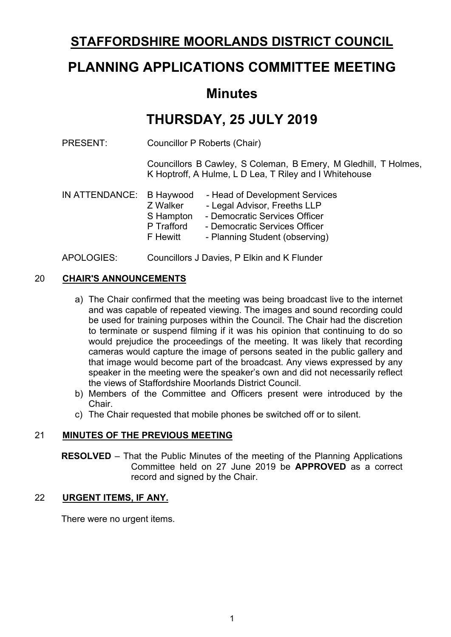## **STAFFORDSHIRE MOORLANDS DISTRICT COUNCIL**

# **PLANNING APPLICATIONS COMMITTEE MEETING**

## **Minutes**

# **THURSDAY, 25 JULY 2019**

PRESENT: Councillor P Roberts (Chair)

Councillors B Cawley, S Coleman, B Emery, M Gledhill, T Holmes, K Hoptroff, A Hulme, L D Lea, T Riley and I Whitehouse

| Z Walker   | - Head of Development Services |
|------------|--------------------------------|
|            | - Legal Advisor, Freeths LLP   |
| S Hampton  | - Democratic Services Officer  |
| P Trafford | - Democratic Services Officer  |
| F Hewitt   | - Planning Student (observing) |

APOLOGIES: Councillors J Davies, P Elkin and K Flunder

## 20 **CHAIR'S ANNOUNCEMENTS**

- a) The Chair confirmed that the meeting was being broadcast live to the internet and was capable of repeated viewing. The images and sound recording could be used for training purposes within the Council. The Chair had the discretion to terminate or suspend filming if it was his opinion that continuing to do so would prejudice the proceedings of the meeting. It was likely that recording cameras would capture the image of persons seated in the public gallery and that image would become part of the broadcast. Any views expressed by any speaker in the meeting were the speaker's own and did not necessarily reflect the views of Staffordshire Moorlands District Council.
- b) Members of the Committee and Officers present were introduced by the Chair.
- c) The Chair requested that mobile phones be switched off or to silent.

## 21 **MINUTES OF THE PREVIOUS MEETING**

**RESOLVED** – That the Public Minutes of the meeting of the Planning Applications Committee held on 27 June 2019 be **APPROVED** as a correct record and signed by the Chair.

#### 22 **URGENT ITEMS, IF ANY.**

There were no urgent items.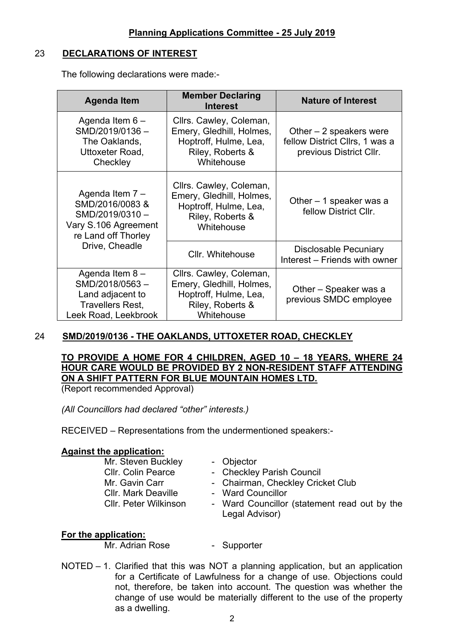#### 23 **DECLARATIONS OF INTEREST**

The following declarations were made:-

| <b>Agenda Item</b>                                                                                      | <b>Member Declaring</b><br><b>Interest</b>                                                                     | <b>Nature of Interest</b>                                                             |
|---------------------------------------------------------------------------------------------------------|----------------------------------------------------------------------------------------------------------------|---------------------------------------------------------------------------------------|
| Agenda Item 6-<br>SMD/2019/0136-<br>The Oaklands,<br>Uttoxeter Road,<br>Checkley                        | Cllrs. Cawley, Coleman,<br>Emery, Gledhill, Holmes,<br>Hoptroff, Hulme, Lea,<br>Riley, Roberts &<br>Whitehouse | Other $-2$ speakers were<br>fellow District Cllrs, 1 was a<br>previous District Cllr. |
| Agenda Item 7 -<br>SMD/2016/0083 &<br>SMD/2019/0310-<br>Vary S.106 Agreement<br>re Land off Thorley     | Cllrs. Cawley, Coleman,<br>Emery, Gledhill, Holmes,<br>Hoptroff, Hulme, Lea,<br>Riley, Roberts &<br>Whitehouse | Other $-1$ speaker was a<br>fellow District Cllr.                                     |
| Drive, Cheadle                                                                                          | Cllr. Whitehouse                                                                                               | <b>Disclosable Pecuniary</b><br>Interest - Friends with owner                         |
| Agenda Item 8-<br>SMD/2018/0563-<br>Land adjacent to<br><b>Travellers Rest,</b><br>Leek Road, Leekbrook | Cllrs. Cawley, Coleman,<br>Emery, Gledhill, Holmes,<br>Hoptroff, Hulme, Lea,<br>Riley, Roberts &<br>Whitehouse | Other – Speaker was a<br>previous SMDC employee                                       |

## 24 **SMD/2019/0136 - THE OAKLANDS, UTTOXETER ROAD, CHECKLEY**

## **TO PROVIDE A HOME FOR 4 CHILDREN, AGED 10 – 18 YEARS, WHERE 24 HOUR CARE WOULD BE PROVIDED BY 2 NON-RESIDENT STAFF ATTENDING ON A SHIFT PATTERN FOR BLUE MOUNTAIN HOMES LTD.**

(Report recommended Approval)

*(All Councillors had declared "other" interests.)*

RECEIVED – Representations from the undermentioned speakers:-

#### **Against the application:**

Mr. Steven Buckley - Objector Cllr. Mark Deaville - Ward Councillor

- 
- Cllr. Colin Pearce Checkley Parish Council
- Mr. Gavin Carr Chairman, Checkley Cricket Club
	-
- Cllr. Peter Wilkinson Ward Councillor (statement read out by the Legal Advisor)

## **For the application:**

Mr. Adrian Rose - Supporter

NOTED – 1. Clarified that this was NOT a planning application, but an application for a Certificate of Lawfulness for a change of use. Objections could not, therefore, be taken into account. The question was whether the change of use would be materially different to the use of the property as a dwelling.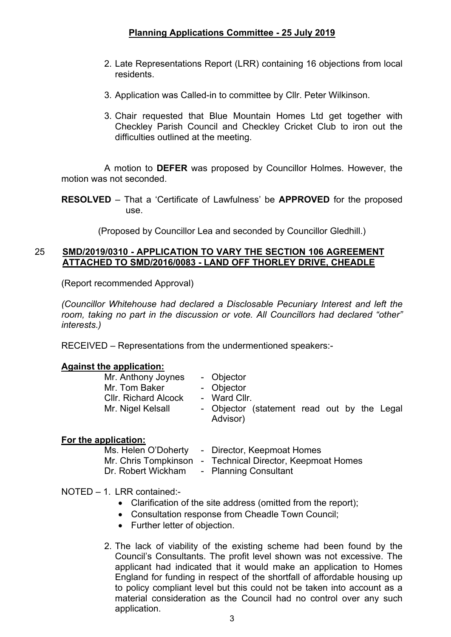- 2. Late Representations Report (LRR) containing 16 objections from local residents.
- 3. Application was Called-in to committee by Cllr. Peter Wilkinson.
- 3. Chair requested that Blue Mountain Homes Ltd get together with Checkley Parish Council and Checkley Cricket Club to iron out the difficulties outlined at the meeting.

A motion to **DEFER** was proposed by Councillor Holmes. However, the motion was not seconded.

**RESOLVED** – That a 'Certificate of Lawfulness' be **APPROVED** for the proposed use.

(Proposed by Councillor Lea and seconded by Councillor Gledhill.)

#### 25 **SMD/2019/0310 - APPLICATION TO VARY THE SECTION 106 AGREEMENT ATTACHED TO SMD/2016/0083 - LAND OFF THORLEY DRIVE, CHEADLE**

(Report recommended Approval)

*(Councillor Whitehouse had declared a Disclosable Pecuniary Interest and left the room, taking no part in the discussion or vote. All Councillors had declared "other" interests.)*

RECEIVED – Representations from the undermentioned speakers:-

#### **Against the application:**

| Mr. Anthony Joynes          | - Objector   |                                             |  |  |  |
|-----------------------------|--------------|---------------------------------------------|--|--|--|
| Mr. Tom Baker               | - Objector   |                                             |  |  |  |
| <b>CIIr. Richard Alcock</b> | - Ward Cllr. |                                             |  |  |  |
| Mr. Nigel Kelsall           |              | - Objector (statement read out by the Legal |  |  |  |
|                             | Advisor)     |                                             |  |  |  |

#### **For the application:**

| Ms. Helen O'Doherty | - Director, Keepmoat Homes                                |
|---------------------|-----------------------------------------------------------|
|                     | Mr. Chris Tompkinson - Technical Director, Keepmoat Homes |
| Dr. Robert Wickham  | - Planning Consultant                                     |

### NOTED – 1. LRR contained:-

- Clarification of the site address (omitted from the report):
- Consultation response from Cheadle Town Council;
- Further letter of objection.
- 2. The lack of viability of the existing scheme had been found by the Council's Consultants. The profit level shown was not excessive. The applicant had indicated that it would make an application to Homes England for funding in respect of the shortfall of affordable housing up to policy compliant level but this could not be taken into account as a material consideration as the Council had no control over any such application.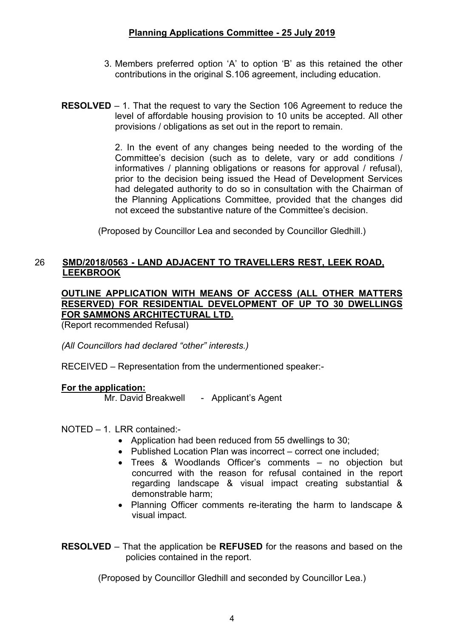- 3. Members preferred option 'A' to option 'B' as this retained the other contributions in the original S.106 agreement, including education.
- **RESOLVED** 1. That the request to vary the Section 106 Agreement to reduce the level of affordable housing provision to 10 units be accepted. All other provisions / obligations as set out in the report to remain.

2. In the event of any changes being needed to the wording of the Committee's decision (such as to delete, vary or add conditions / informatives / planning obligations or reasons for approval / refusal), prior to the decision being issued the Head of Development Services had delegated authority to do so in consultation with the Chairman of the Planning Applications Committee, provided that the changes did not exceed the substantive nature of the Committee's decision.

(Proposed by Councillor Lea and seconded by Councillor Gledhill.)

#### 26 **SMD/2018/0563 - LAND ADJACENT TO TRAVELLERS REST, LEEK ROAD, LEEKBROOK**

#### **OUTLINE APPLICATION WITH MEANS OF ACCESS (ALL OTHER MATTERS RESERVED) FOR RESIDENTIAL DEVELOPMENT OF UP TO 30 DWELLINGS FOR SAMMONS ARCHITECTURAL LTD.**

(Report recommended Refusal)

*(All Councillors had declared "other" interests.)*

RECEIVED – Representation from the undermentioned speaker:-

#### **For the application:**

Mr. David Breakwell - Applicant's Agent

NOTED – 1. LRR contained:-

- Application had been reduced from 55 dwellings to 30;
- Published Location Plan was incorrect correct one included:
- Trees & Woodlands Officer's comments no objection but concurred with the reason for refusal contained in the report regarding landscape & visual impact creating substantial & demonstrable harm;
- Planning Officer comments re-iterating the harm to landscape & visual impact.
- **RESOLVED** That the application be **REFUSED** for the reasons and based on the policies contained in the report.

(Proposed by Councillor Gledhill and seconded by Councillor Lea.)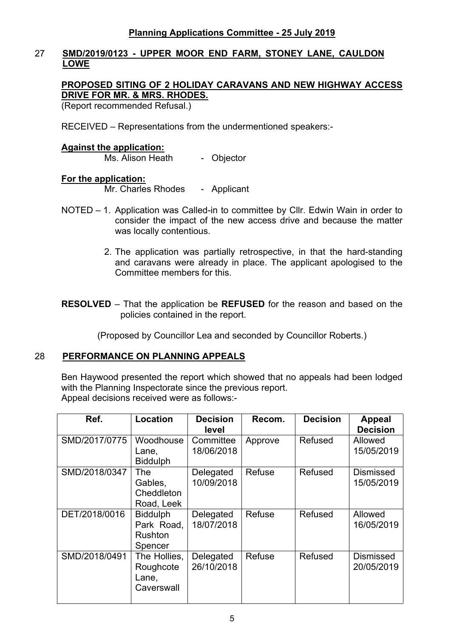#### 27 **SMD/2019/0123 - UPPER MOOR END FARM, STONEY LANE, CAULDON LOWE**

#### **PROPOSED SITING OF 2 HOLIDAY CARAVANS AND NEW HIGHWAY ACCESS DRIVE FOR MR. & MRS. RHODES.**

(Report recommended Refusal.)

RECEIVED – Representations from the undermentioned speakers:-

#### **Against the application:**

Ms. Alison Heath - Objector

#### **For the application:**

Mr. Charles Rhodes - Applicant

- NOTED 1. Application was Called-in to committee by Cllr. Edwin Wain in order to consider the impact of the new access drive and because the matter was locally contentious.
	- 2. The application was partially retrospective, in that the hard-standing and caravans were already in place. The applicant apologised to the Committee members for this.
- **RESOLVED** That the application be **REFUSED** for the reason and based on the policies contained in the report.

(Proposed by Councillor Lea and seconded by Councillor Roberts.)

#### 28 **PERFORMANCE ON PLANNING APPEALS**

Ben Haywood presented the report which showed that no appeals had been lodged with the Planning Inspectorate since the previous report. Appeal decisions received were as follows:-

| Ref.          | Location                                                   | <b>Decision</b><br>level | Recom.  | <b>Decision</b> | <b>Appeal</b><br><b>Decision</b> |
|---------------|------------------------------------------------------------|--------------------------|---------|-----------------|----------------------------------|
| SMD/2017/0775 | Woodhouse<br>Lane,<br><b>Biddulph</b>                      | Committee<br>18/06/2018  | Approve | Refused         | Allowed<br>15/05/2019            |
| SMD/2018/0347 | The<br>Gables,<br>Cheddleton<br>Road, Leek                 | Delegated<br>10/09/2018  | Refuse  | Refused         | <b>Dismissed</b><br>15/05/2019   |
| DET/2018/0016 | <b>Biddulph</b><br>Park Road,<br><b>Rushton</b><br>Spencer | Delegated<br>18/07/2018  | Refuse  | Refused         | Allowed<br>16/05/2019            |
| SMD/2018/0491 | The Hollies,<br>Roughcote<br>Lane,<br>Caverswall           | Delegated<br>26/10/2018  | Refuse  | Refused         | <b>Dismissed</b><br>20/05/2019   |